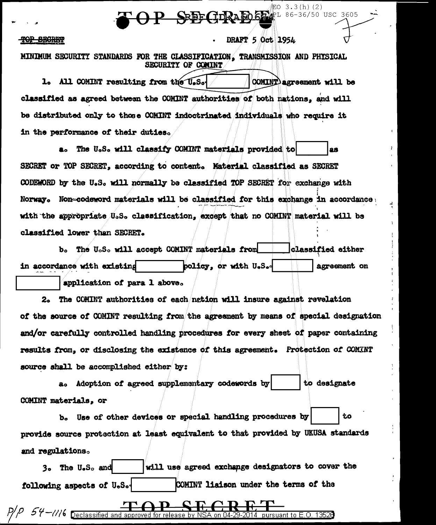SEEF GERALD 5 2 1 86-36/50 USC 3605

#### <del>01 DESTET</del>

### DRAFT 5 Oct 1954

配O 3.3(h)(2)

MINIMUM SECURITY STANDARDS FOR THE CLASSIFICATION. TRANSMISSION AND PHYSICAL **SECURITY OF COMINT** 

1. All COMINT resulting from the U.S. COMINT agreement will be classified as agreed between the COMINT authorities of both nations, and will be distributed only to those COMINT indoctrinated individuals who require it in the performance of their duties.

a. The U.S. will classify COMINT materials provided to 88 SECRET or TOP SECRET, according to content. Material classified as SECRET CODEWORD by the U.S. will normally be classified TOP SECRET for exchange with Norway. Non-codeword materials will be classified for this exchange in accordance with the appropriate U.S. classification, except that no COMINT material will be classified lower than SECRET.

b. The U.S. will accept COMINT materials from **classified either** in accordance with existing policy, or with U.S. agreement on application of para 1 above.

The COMINT authorities of each nation will insure against revelation  $2<sub>o</sub>$ of the source of COMINT resulting from the agreement by means of special designation and/or carefully controlled handling procedures for every sheet of paper containing results from, or disclosing the existence of this agreement. Protection of COMINT source shall be accomplished either by:

a. Adoption of agreed supplementary codewords by to designate COMINT materials. or

b. Use of other devices or special handling procedures by tо provide source protection at least equivalent to that provided by UKUSA standards and regulations.

will use agreed exchange designators to cover the 3. The U.S. and COMINT liaison under the terms of the following aspects of U.S.

 $P/P$  54-1/16 Declassified and approved for release by NSA on 04-29-2014 pursuant to E.O. 13528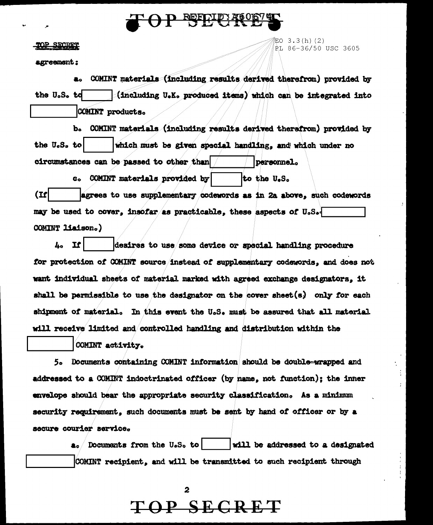

#### <u>NP SECRET</u>

agreement:

EO  $3.3(h)$  (2) <u>è</u>l 86-36/50 USC 3605

COMINT materials (including results derived therefrom) provided by the U.S. td (including U.K. produced items) which can be integrated into COMINT products.

b. COMINT materials (including results derived therefrom) provided by which must be given special handling, and which under no the U.S. to circumstances can be passed to other than personnel.

c. COMINT materials provided by to the U.S.  $(1)$ agrees to use supplementary codewords as in 2a above, such codewords may be used to cover, insofar as practicable, these aspects of U.S. COMINT liaison.)

 $4.1$ desires to use some device or special handling procedure for protection of COMINT source instead of supplementary codewords. and does not want individual sheets of material marked with agreed exchange designators, it shall be permissible to use the designator on the cover sheet  $(s)$  only for each shipment of material. In this event the U.S. must be assured that all material will receive limited and controlled handling and distribution within the

COMINT activity.

5. Documents containing COMINT information should be double-wrapped and addressed to a COMINT indoctrinated officer (by name, not function); the inner envelope should bear the appropriate security classification. As a minimum security requirement, such documents must be sent by hand of officer or by a secure courier service.

 $a_{o}$  Documents from the U.S. to will be addressed to a designated COMINT recipient, and will be transmitted to such recipient through

TOP SECRET

2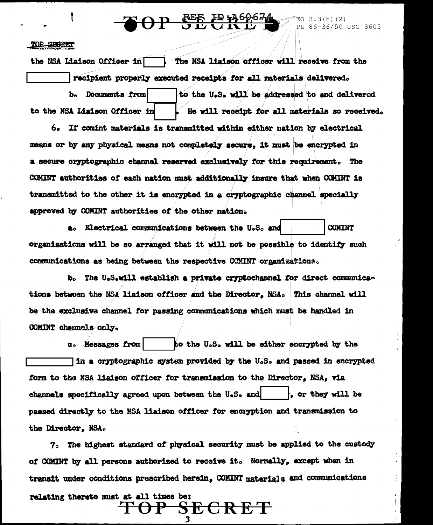## **REE ED 360674**

### EO 3.3(h)(2)<br>PL 86-36/50 USC 3605

### TOP SECTET

the NSA Liaison Officer in The NSA liaison officer will receive from the recipient properly executed receipts for all materials delivered. b. Documents from to the U.S. will be addressed to and delivered to the NSA Liaison Officer in He will receipt for all materials so received.

6. If comint materials is transmitted within either nation by electrical means or by any physical means not completely secure, it must be encrypted in a secure cryptographic channel reserved exclusively for this requirement. The COMINT authorities of each nation must additionally insure that when COMINT is transmitted to the other it is encrypted in a cryptographic channel specially approved by COMINT authorities of the other nation.

**COMINT** a. Electrical communications between the U.S. and organisations will be so arranged that it will not be possible to identify such communications as being between the respective COMINT organizations.

b. The U.S.will establish a private cryptochannel for direct communications between the NSA liaison officer and the Director, NSA. This channel will be the exclusive channel for passing communications which must be handled in COMINT channels only.

to the U.S. will be either encrypted by the c. Messages from in a cryptographic system provided by the U.S. and passed in encrypted form to the NSA liaison officer for transmission to the Director, NSA, via channels specifically agreed upon between the U.S. and . or they will be passed directly to the NSA liaison officer for encryption and transmission to the Director, NSA.

7. The highest standard of physical security must be applied to the custody of COMINT by all persons authorized to receive it. Normally, except when in transit under conditions prescribed herein, COMINT materials and communications relating thereto must at all times be:

**SECRET**